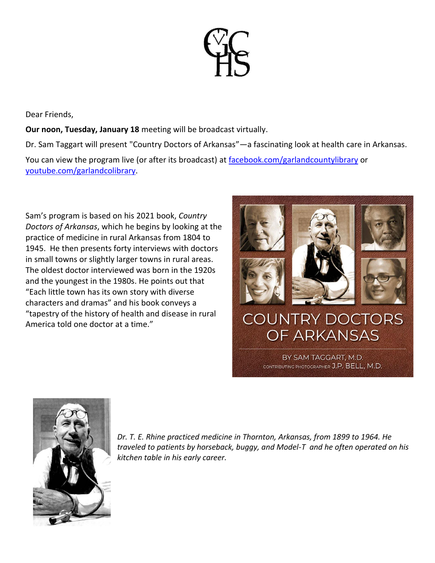

Dear Friends,

**Our noon, Tuesday, January 18** meeting will be broadcast virtually.

Dr. Sam Taggart will present "Country Doctors of Arkansas"—a fascinating look at health care in Arkansas.

You can view the program live (or after its broadcast) at [facebook.com/garlandcountylibrary](http://facebook.com/garlandcountylibrary) or [youtube.com/garlandcolibrary.](http://youtube.com/garlandcolibrary)

Sam's program is based on his 2021 book, *Country Doctors of Arkansas*, which he begins by looking at the practice of medicine in rural Arkansas from 1804 to 1945. He then presents forty interviews with doctors in small towns or slightly larger towns in rural areas. The oldest doctor interviewed was born in the 1920s and the youngest in the 1980s. He points out that "Each little town has its own story with diverse characters and dramas" and his book conveys a "tapestry of the history of health and disease in rural America told one doctor at a time."





*Dr. T. E. Rhine practiced medicine in Thornton, Arkansas, from 1899 to 1964. He traveled to patients by horseback, buggy, and Model-T and he often operated on his kitchen table in his early career.*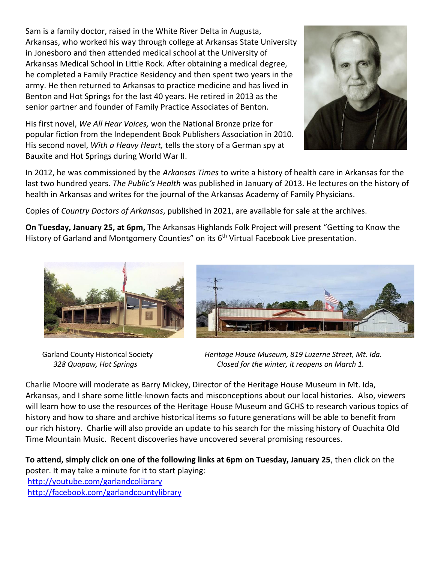Sam is a family doctor, raised in the White River Delta in Augusta, Arkansas, who worked his way through college at Arkansas State University in Jonesboro and then attended medical school at the University of Arkansas Medical School in Little Rock. After obtaining a medical degree, he completed a Family Practice Residency and then spent two years in the army. He then returned to Arkansas to practice medicine and has lived in Benton and Hot Springs for the last 40 years. He retired in 2013 as the senior partner and founder of Family Practice Associates of Benton.

His first novel, *We All Hear Voices,* won the National Bronze prize for popular fiction from the Independent Book Publishers Association in 2010. His second novel, *With a Heavy Heart,* tells the story of a German spy at Bauxite and Hot Springs during World War II.



In 2012, he was commissioned by the *Arkansas Times* to write a history of health care in Arkansas for the last two hundred years. *The Public's Health* was published in January of 2013. He lectures on the history of health in Arkansas and writes for the journal of the Arkansas Academy of Family Physicians.

Copies of *Country Doctors of Arkansas*, published in 2021, are available for sale at the archives.

**On Tuesday, January 25, at 6pm,** The Arkansas Highlands Folk Project will present "Getting to Know the History of Garland and Montgomery Counties" on its  $6<sup>th</sup>$  Virtual Facebook Live presentation.





 Garland County Historical Society *Heritage House Museum, 819 Luzerne Street, Mt. Ida. 328 Quapaw, Hot Springs Closed for the winter, it reopens on March 1.*

Charlie Moore will moderate as Barry Mickey, Director of the Heritage House Museum in Mt. Ida, Arkansas, and I share some little-known facts and misconceptions about our local histories. Also, viewers will learn how to use the resources of the Heritage House Museum and GCHS to research various topics of history and how to share and archive historical items so future generations will be able to benefit from our rich history. Charlie will also provide an update to his search for the missing history of Ouachita Old Time Mountain Music. Recent discoveries have uncovered several promising resources.

**To attend, simply click on one of the following links at 6pm on Tuesday, January 25**, then click on the poster. It may take a minute for it to start playing:

<http://youtube.com/garlandcolibrary> <http://facebook.com/garlandcountylibrary>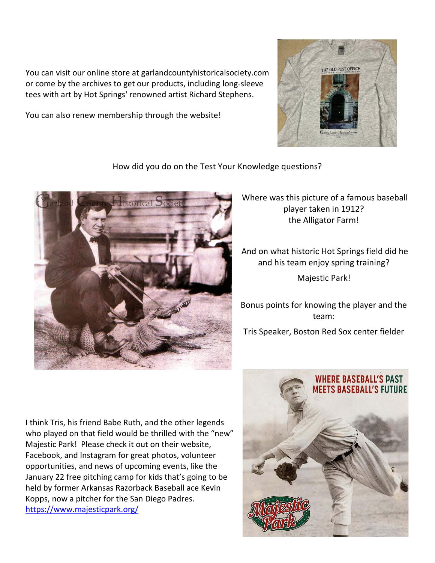You can visit our online store at garlandcountyhistoricalsociety.com or come by the archives to get our products, including long-sleeve tees with art by Hot Springs' renowned artist Richard Stephens.

You can also renew membership through the website!



How did you do on the Test Your Knowledge questions?



Where was this picture of a famous baseball player taken in 1912? the Alligator Farm!

And on what historic Hot Springs field did he and his team enjoy spring training?

Majestic Park!

Bonus points for knowing the player and the team: Tris Speaker, Boston Red Sox center fielder

I think Tris, his friend Babe Ruth, and the other legends who played on that field would be thrilled with the "new" Majestic Park! Please check it out on their website, Facebook, and Instagram for great photos, volunteer opportunities, and news of upcoming events, like the January 22 free pitching camp for kids that's going to be held by former Arkansas Razorback Baseball ace Kevin Kopps, now a pitcher for the San Diego Padres. <https://www.majesticpark.org/>

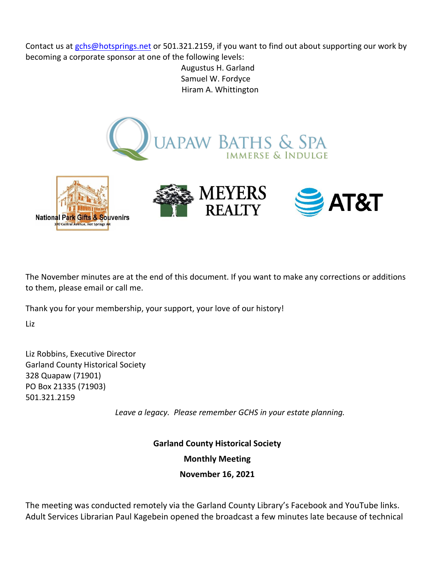Contact us at [gchs@hotsprings.net](mailto:gchs@hotsprings.net) or 501.321.2159, if you want to find out about supporting our work by becoming a corporate sponsor at one of the following levels:

> Augustus H. Garland Samuel W. Fordyce Hiram A. Whittington



The November minutes are at the end of this document. If you want to make any corrections or additions to them, please email or call me.

Thank you for your membership, your support, your love of our history!

Liz

Liz Robbins, Executive Director Garland County Historical Society 328 Quapaw (71901) PO Box 21335 (71903) 501.321.2159

*Leave a legacy. Please remember GCHS in your estate planning.*

**Garland County Historical Society**

**Monthly Meeting**

**November 16, 2021**

The meeting was conducted remotely via the Garland County Library's Facebook and YouTube links. Adult Services Librarian Paul Kagebein opened the broadcast a few minutes late because of technical